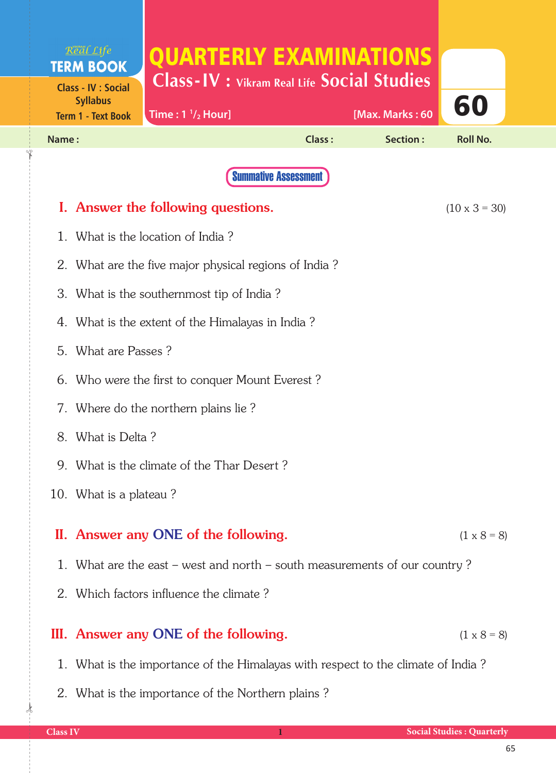|                            | Real Life<br><b>TERM BOOK</b>                                                    | QUARTERLY EXAMINATIONS                                |               |                 |                      |  |
|----------------------------|----------------------------------------------------------------------------------|-------------------------------------------------------|---------------|-----------------|----------------------|--|
| <b>Class - IV : Social</b> |                                                                                  | <b>Class-IV : Vikram Real Life Social Studies</b>     |               |                 |                      |  |
|                            | <b>Syllabus</b><br><b>Term 1 - Text Book</b>                                     | Time: $1 \frac{1}{2}$ Hour]                           |               | [Max. Marks: 60 | 60                   |  |
| Name:                      |                                                                                  |                                                       | <b>Class:</b> | Section:        | <b>Roll No.</b>      |  |
|                            |                                                                                  | <b>Summative Assessment</b>                           |               |                 |                      |  |
|                            |                                                                                  | I. Answer the following questions.                    |               |                 | $(10 \times 3 = 30)$ |  |
| 1.                         |                                                                                  | What is the location of India?                        |               |                 |                      |  |
|                            |                                                                                  | 2. What are the five major physical regions of India? |               |                 |                      |  |
|                            | 3. What is the southernmost tip of India?                                        |                                                       |               |                 |                      |  |
|                            | 4. What is the extent of the Himalayas in India?                                 |                                                       |               |                 |                      |  |
|                            | 5. What are Passes?                                                              |                                                       |               |                 |                      |  |
|                            | 6. Who were the first to conquer Mount Everest?                                  |                                                       |               |                 |                      |  |
|                            | 7. Where do the northern plains lie?                                             |                                                       |               |                 |                      |  |
|                            | 8. What is Delta?                                                                |                                                       |               |                 |                      |  |
|                            | 9. What is the climate of the Thar Desert?                                       |                                                       |               |                 |                      |  |
|                            | 10. What is a plateau?                                                           |                                                       |               |                 |                      |  |
|                            |                                                                                  | II. Answer any ONE of the following.                  |               |                 | $(1 \times 8 = 8)$   |  |
|                            |                                                                                  |                                                       |               |                 |                      |  |
|                            | 1. What are the east – west and north – south measurements of our country?       |                                                       |               |                 |                      |  |
|                            | 2. Which factors influence the climate?                                          |                                                       |               |                 |                      |  |
|                            |                                                                                  | III. Answer any ONE of the following.                 |               |                 | $(1 \times 8 = 8)$   |  |
|                            | 1. What is the importance of the Himalayas with respect to the climate of India? |                                                       |               |                 |                      |  |

2. What is the importance of the Northern plains ?

 $\frac{1}{2}$ 

✁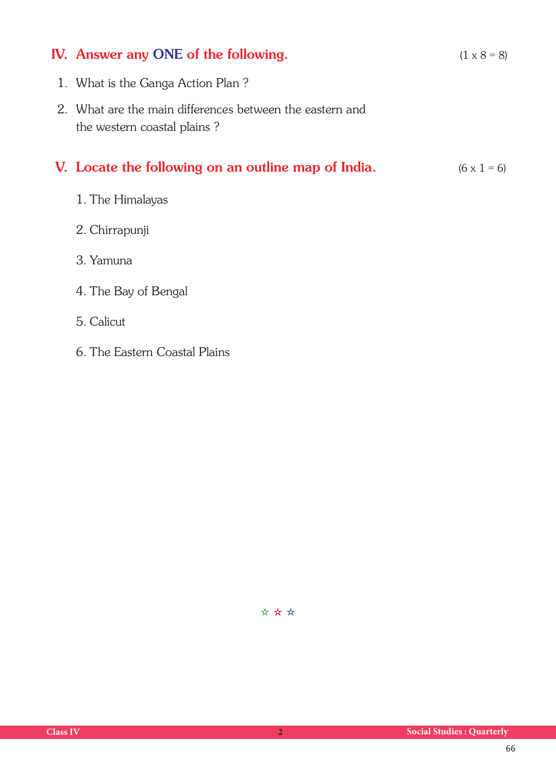## **IV.** Answer any ONE of the following.  $(1 \times 8 = 8)$

- 1. What is the Ganga Action Plan ?
- 2. What are the main differences between the eastern and the western coastal plains ?

## **V.** Locate the following on an outline map of India.  $(6 \times 1 = 6)$

- 1. The Himalayas
- 2. Chirrapunji
- 3. Yamuna
- 4. The Bay of Bengal
- 5. Calicut
- 6. The Eastern Coastal Plains

✫ ✫ ✫

| <b>Class IV</b> |  |
|-----------------|--|
|                 |  |
|                 |  |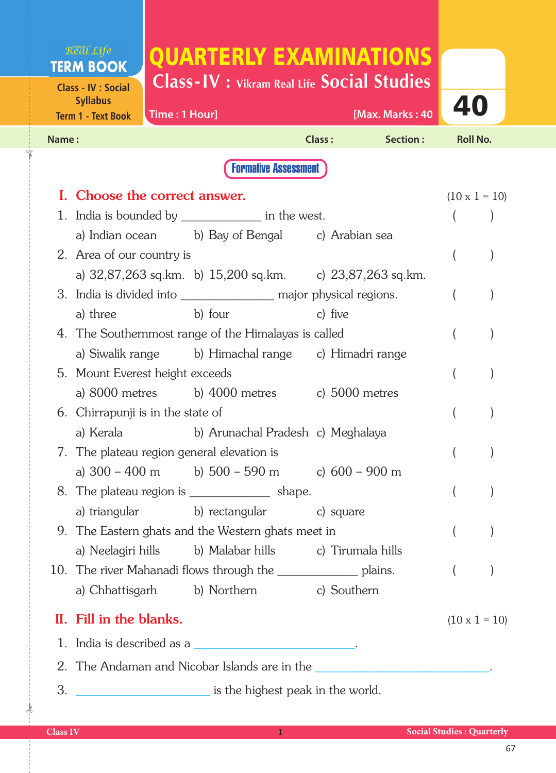## Real Life QUARTERLY EXAMINATIONS **TERM BOOK Class-IV : Vikram Real Life Social Studies Class - IV : Social Syllabus** 40 **Time : 1 Hour] [Max. Marks : 40 Term 1 - Text Book Name : Class : Section : Roll No.**  Formative Assessment **I.** Choose the correct answer. (10 x 1 = 10) 1. India is bounded by each in the west. ( ) a) Indian ocean b) Bay of Bengal c) Arabian sea 2. Area of our country is ( ) a) 32,87,263 sq.km. b) 15,200 sq.km. c) 23,87,263 sq.km. 3. India is divided into example and major physical regions. ( ) a) three b) four c) five 4. The Southernmost range of the Himalayas is called ( ) a) Siwalik range b) Himachal range c) Himadri range 5. Mount Everest height exceeds ( ) a) 8000 metres b) 4000 metres c) 5000 metres 6. Chirrapunji is in the state of ( ) a) Kerala b) Arunachal Pradesh c) Meghalaya 7. The plateau region general elevation is (a) a)  $300 - 400$  m b)  $500 - 590$  m c)  $600 - 900$  m 8. The plateau region is  $\qquad \qquad \text{shape.} \qquad \qquad \text{()}$ a) triangular b) rectangular c) square 9. The Eastern ghats and the Western ghats meet in ( ) a) Neelagiri hills b) Malabar hills c) Tirumala hills 10. The river Mahanadi flows through the \_\_\_\_\_\_\_\_\_\_\_\_\_\_\_\_ plains. ( ) a) Chhattisgarh b) Northern c) Southern II. Fill in the blanks.  $(10 \times 1 = 10)$ 1. India is described as a  $\blacksquare$ 2. The Andaman and Nicobar Islands are in the 3. \_\_\_\_\_\_\_\_\_\_\_\_\_\_\_\_\_\_\_\_ is the highest peak in the world.

 $\frac{1}{2}$ 

✁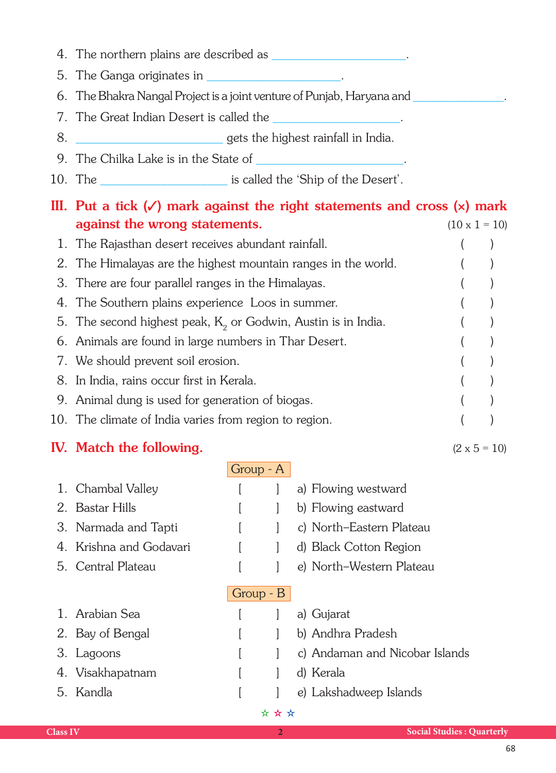- 4. The northern plains are described as \_\_\_\_\_\_\_\_\_\_\_\_\_\_\_\_\_\_\_\_.
- 5. The Ganga originates in \_\_\_\_\_\_\_\_\_\_\_\_\_\_\_\_\_\_\_\_.
- 6. The Bhakra Nangal Project is a joint venture of Punjab, Haryana and
- 7. The Great Indian Desert is called the
- 8. \_\_\_\_\_\_\_\_\_\_\_\_\_\_\_\_\_\_\_\_\_\_ gets the highest rainfall in India.
- 9. The Chilka Lake is in the State of
- 10. The settled the 'Ship of the Desert'.

| III. Put a tick $(\checkmark)$ mark against the right statements and cross $(x)$ mark |  |                      |  |  |
|---------------------------------------------------------------------------------------|--|----------------------|--|--|
| against the wrong statements.                                                         |  | $(10 \times 1 = 10)$ |  |  |
| 1. The Rajasthan desert receives abundant rainfall.                                   |  |                      |  |  |
| 2. The Himalayas are the highest mountain ranges in the world.                        |  |                      |  |  |
| 3. There are four parallel ranges in the Himalayas.                                   |  |                      |  |  |
| 4. The Southern plains experience Loos in summer.                                     |  |                      |  |  |
| 5. The second highest peak, $K_2$ or Godwin, Austin is in India.                      |  |                      |  |  |
| 6. Animals are found in large numbers in Thar Desert.                                 |  |                      |  |  |
| 7. We should prevent soil erosion.                                                    |  |                      |  |  |
| 8. In India, rains occur first in Kerala.                                             |  |                      |  |  |
| 9. Animal dung is used for generation of biogas.                                      |  |                      |  |  |
| 10. The climate of India varies from region to region.                                |  |                      |  |  |

## IV. Match the following.  $(2 \times 5 = 10)$

| Group - A   |                         |  |  |                                |
|-------------|-------------------------|--|--|--------------------------------|
|             | 1. Chambal Valley       |  |  | a) Flowing westward            |
|             | 2. Bastar Hills         |  |  | b) Flowing eastward            |
|             | 3. Narmada and Tapti    |  |  | c) North-Eastern Plateau       |
|             | 4. Krishna and Godavari |  |  | d) Black Cotton Region         |
|             | 5. Central Plateau      |  |  | e) North-Western Plateau       |
| Group $- B$ |                         |  |  |                                |
|             | 1. Arabian Sea          |  |  | a) Gujarat                     |
|             | 2. Bay of Bengal        |  |  | b) Andhra Pradesh              |
|             | 3. Lagoons              |  |  | c) Andaman and Nicobar Islands |
|             | 4. Visakhapatnam        |  |  | d) Kerala                      |
|             | 5. Kandla               |  |  | e) Lakshadweep Islands         |
| * * *       |                         |  |  |                                |